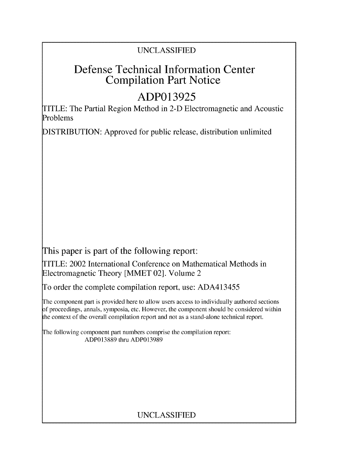### UNCLASSIFIED

## **Defense Technical Information Center Compilation Part Notice**

# **ADP013925**

TITLE: The Partial Region Method in 2-D Electromagnetic and Acoustic Problems

**DISTRIBUTION:** Approved for public release, distribution unlimited

This paper is part of the following report:

TITLE: 2002 International Conference on Mathematical Methods in Electromagnetic Theory [MMET 02]. Volume 2

To order the complete compilation report, use: ADA413455

The component part is provided here to allow users access to individually authored sections f proceedings, annals, symposia, etc. However, the component should be considered within the context of the overall compilation report and not as a stand-alone technical report.

The following component part numbers comprise the compilation report: ADP013889 thru ADP013989

## UNCLASSIFIED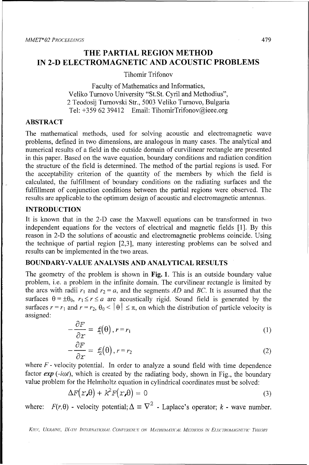### **THE PARTIAL REGION METHOD IN 2-D ELECTROMAGNETIC AND ACOUSTIC PROBLEMS**

Tihomir Trifonov

Faculty of Mathematics and Informatics, Veliko Turnovo University "St.St. Cyril and Methodius", 2 Teodosij Turnovski Str., 5003 Veliko Turnovo, Bulgaria Tel: +359 62 39412 Email: TihomirTrifonov@ieee.org

#### **ABSTRACT**

The mathematical methods, used for solving acoustic and electromagnetic wave problems, defined in two dimensions, are analogous in many cases. The analytical and numerical results of a field in the outside domain of curvilinear rectangle are presented in this paper. Based on the wave equation, boundary conditions and radiation condition the structure of the field is determined. The method of the partial regions is used. For the acceptability criterion of the quantity of the members **by** which the field is calculated, the fulfillment of boundary conditions on the radiating surfaces and the fulfillment of conjunction conditions between the partial regions were observed. The results are applicable to the optimum design of acoustic and electromagnetic antennas.

#### **INTRODUCTION**

It is known that in the **2-D** case the Maxwell equations can be transformed in two independent equations for the vectors of electrical and magnetic fields **[1]. By** this reason in **2-D** the solutions of acoustic and electromagnetic problems coincide. Using the technique of partial region **[2,3],** many interesting problems can be solved and results can be implemented in the two areas.

#### **BOUNDARY-VALUE ANALYSIS AND ANALYTICAL RESULTS**

The geometry of the problem is shown in **Fig. 1.** This is an outside boundary value problem, i.e. a problem in the infinite domain. The curvilinear rectangle is limited **by** the arcs with radii  $r_1$  and  $r_2 = a$ , and the segments *AD* and *BC*. It is assumed that the surfaces  $\theta = \pm \theta_0$ ,  $r_1 \le r \le a$  are acoustically rigid. Sound field is generated by the surfaces  $r = r_1$  and  $r = r_2$ ,  $\theta_0 < |\theta| \le \pi$ , on which the distribution of particle velocity is assigned:

$$
-\frac{\partial F}{\partial r} = f_{\parallel}(\theta), r = r_{\parallel}
$$
 (1)

$$
-\frac{\partial F}{\partial r} = f_2(\theta), r = r_2 \tag{2}
$$

where  $F$  **-** velocity potential. In order to analyze a sound field with time dependence factor *exp* (-*i*ωt), which is created by the radiating body, shown in Fig., the boundary value problem for the Helmholtz equation in cylindrical coordinates must be solved:

$$
\Delta F(x,\theta) + k^2 F(x,\theta) = 0 \tag{3}
$$

where:  $F(r, \theta)$  - velocity potential;  $\Delta \equiv \nabla^2$  - Laplace's operator; *k* - wave number.

*KIl;v, UKImA INh, IfN-H INTIRNA7ONAI.l CONh/'Igh'N('IF ON IA7'I- MAT7I(AL MEYTHO)S IN EIm'CTRoMA N'7(' THEORY*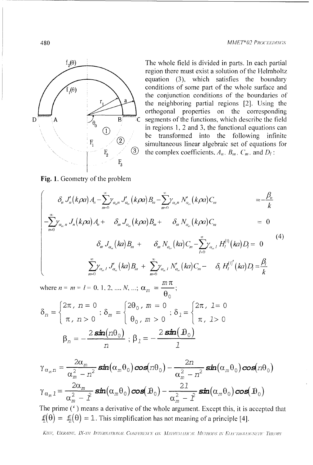

The whole field is divided in parts. In each partial region there must exist a solution of the Helmholtz equation (3), which satisfies the boundary conditions of some part of the whole surface and the conjunction conditions of the boundaries of the neighboring partial regions [2]. Using the orthogonal properties on the corresponding segments of the functions, which describe the field in regions 1, 2 and 3, the functional equations can be transformed into the following infinite simultaneous linear algebraic set of equations for the complex coefficients,  $A_n$ ,  $B_m$ ,  $C_m$ , and  $D_l$ :

Fig. 1. Geometry of the problem

$$
\begin{cases}\n\delta_n J'_n(k\rho a) A_n - \sum_{m=0}^{\infty} \gamma_{\alpha_m} J'_\alpha(k\rho a) B_m - \sum_{m=0}^{\infty} \gamma_{\alpha_m} N'_{\alpha_m}(k\rho a) C_m &= -\frac{\beta_n}{k} \\
-\sum_{n=0}^{\infty} \gamma_{\alpha_m} J_n(k\rho a) A_n + \delta_m J_{\alpha_m}(k\rho a) B_m + \delta_m N_{\alpha_m}(k\rho a) C_m &= 0 \\
\delta_m J_{\alpha_m}(k a) B_m + \delta_m N_{\alpha_m}(k a) C_m - \sum_{l=0}^{\infty} \gamma_{\alpha_m} I H_l^{(1)}(k a) D_l &= 0\n\end{cases}
$$
\n(4)

 $\theta_0$ 

$$
\delta_n = \begin{cases} 2\pi \, , \, n = 0 \\ \pi \, , \, n > 0 \end{cases}; \, \delta_m = \begin{cases} 2\theta_0 \, , \, m = 0 \\ \theta_0 \, , \, m > 0 \end{cases}; \, \delta_1 = \begin{cases} 2\pi \, , \, 1 = 0 \\ \pi \, , \, 1 > 0 \end{cases}
$$
\n
$$
\beta_n = -\frac{2 \sin(n\theta_0)}{n}; \, \beta_1 = -\frac{2 \sin(n\theta_0)}{1}
$$

$$
\gamma_{\alpha_m n} = \frac{2\alpha_m}{\alpha_m^2 - n^2} \sin(\alpha_m \theta_0) \cos(n\theta_0) - \frac{2n}{\alpha_m^2 - n^2} \sin(\alpha_m \theta_0) \cos(n\theta_0)
$$
  

$$
\gamma_{\alpha_m 1} = \frac{2\alpha_m}{\alpha_m^2 - \hat{I}} \sin(\alpha_m \theta_0) \cos(\theta_0) - \frac{21}{\alpha_m^2 - \hat{I}} \sin(\alpha_m \theta_0) \cos(\theta_0)
$$

The prime (') means a derivative of the whole argument. Except this, it is accepted that  $f_1(\theta) = f_2(\theta) = 1$ . This simplification has not meaning of a principle [4].

KIEF, UKRAINE, IX-TH INTERNATIONAL CONFERENCE ON MATHEMATICAL METHODS IN ELECTROMAGNETIC THEORY